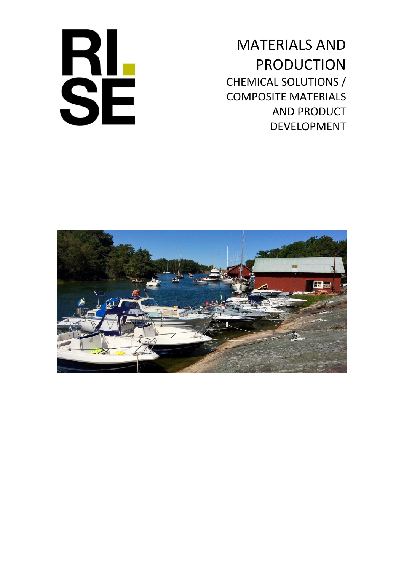

MATERIALS AND PRODUCTION CHEMICAL SOLUTIONS / COMPOSITE MATERIALS AND PRODUCT DEVELOPMENT

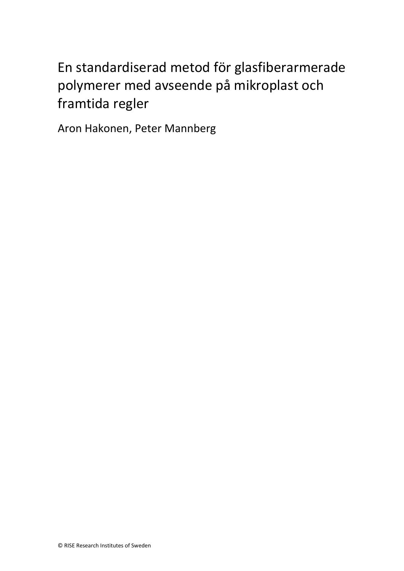# En standardiserad metod för glasfiberarmerade polymerer med avseende på mikroplast och framtida regler

Aron Hakonen, Peter Mannberg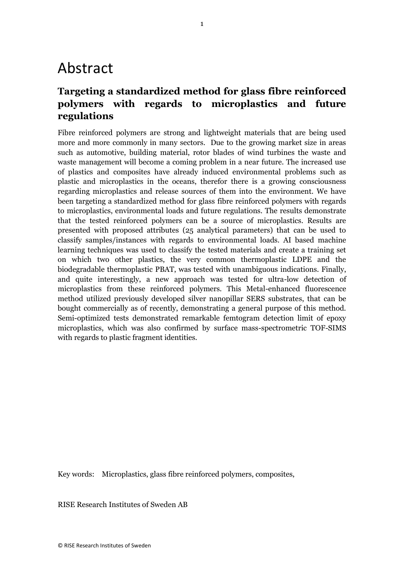## Abstract

#### **Targeting a standardized method for glass fibre reinforced polymers with regards to microplastics and future regulations**

Fibre reinforced polymers are strong and lightweight materials that are being used more and more commonly in many sectors. Due to the growing market size in areas such as automotive, building material, rotor blades of wind turbines the waste and waste management will become a coming problem in a near future. The increased use of plastics and composites have already induced environmental problems such as plastic and microplastics in the oceans, therefor there is a growing consciousness regarding microplastics and release sources of them into the environment. We have been targeting a standardized method for glass fibre reinforced polymers with regards to microplastics, environmental loads and future regulations. The results demonstrate that the tested reinforced polymers can be a source of microplastics. Results are presented with proposed attributes (25 analytical parameters) that can be used to classify samples/instances with regards to environmental loads. AI based machine learning techniques was used to classify the tested materials and create a training set on which two other plastics, the very common thermoplastic LDPE and the biodegradable thermoplastic PBAT, was tested with unambiguous indications. Finally, and quite interestingly, a new approach was tested for ultra-low detection of microplastics from these reinforced polymers. This Metal-enhanced fluorescence method utilized previously developed silver nanopillar SERS substrates, that can be bought commercially as of recently, demonstrating a general purpose of this method. Semi-optimized tests demonstrated remarkable femtogram detection limit of epoxy microplastics, which was also confirmed by surface mass-spectrometric TOF-SIMS with regards to plastic fragment identities.

Key words: Microplastics, glass fibre reinforced polymers, composites,

RISE Research Institutes of Sweden AB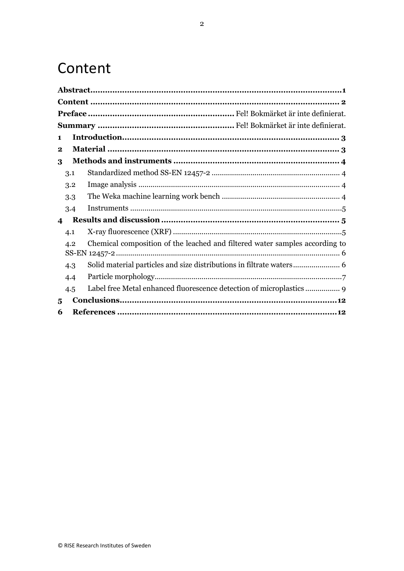## Content

| 1                |     |                                                                                                                                                                                                                                                                                                                                                                                                                                                                                                                                                 |  |  |  |  |  |  |
|------------------|-----|-------------------------------------------------------------------------------------------------------------------------------------------------------------------------------------------------------------------------------------------------------------------------------------------------------------------------------------------------------------------------------------------------------------------------------------------------------------------------------------------------------------------------------------------------|--|--|--|--|--|--|
| $\bf{2}$         |     |                                                                                                                                                                                                                                                                                                                                                                                                                                                                                                                                                 |  |  |  |  |  |  |
| 3                |     |                                                                                                                                                                                                                                                                                                                                                                                                                                                                                                                                                 |  |  |  |  |  |  |
|                  | 3.1 |                                                                                                                                                                                                                                                                                                                                                                                                                                                                                                                                                 |  |  |  |  |  |  |
|                  | 3.2 |                                                                                                                                                                                                                                                                                                                                                                                                                                                                                                                                                 |  |  |  |  |  |  |
|                  | 3.3 |                                                                                                                                                                                                                                                                                                                                                                                                                                                                                                                                                 |  |  |  |  |  |  |
|                  | 3.4 | $\begin{minipage}{0.9\linewidth} \begin{minipage}{0.9\linewidth} \begin{minipage}{0.9\linewidth} \begin{minipage}{0.9\linewidth} \begin{minipage}{0.9\linewidth} \end{minipage} \end{minipage} \begin{minipage}{0.9\linewidth} \begin{minipage}{0.9\linewidth} \begin{minipage}{0.9\linewidth} \end{minipage} \end{minipage} \begin{minipage}{0.9\linewidth} \begin{minipage}{0.9\linewidth} \begin{minipage}{0.9\linewidth} \end{minipage} \end{minipage} \begin{minipage}{0.9\linewidth} \begin{minipage}{0.9\linewidth} \begin{minipage}{0.$ |  |  |  |  |  |  |
| $\boldsymbol{4}$ |     |                                                                                                                                                                                                                                                                                                                                                                                                                                                                                                                                                 |  |  |  |  |  |  |
|                  | 4.1 |                                                                                                                                                                                                                                                                                                                                                                                                                                                                                                                                                 |  |  |  |  |  |  |
|                  | 4.2 | Chemical composition of the leached and filtered water samples according to                                                                                                                                                                                                                                                                                                                                                                                                                                                                     |  |  |  |  |  |  |
|                  | 4.3 |                                                                                                                                                                                                                                                                                                                                                                                                                                                                                                                                                 |  |  |  |  |  |  |
|                  | 4.4 |                                                                                                                                                                                                                                                                                                                                                                                                                                                                                                                                                 |  |  |  |  |  |  |
|                  | 4.5 |                                                                                                                                                                                                                                                                                                                                                                                                                                                                                                                                                 |  |  |  |  |  |  |
| 5                |     |                                                                                                                                                                                                                                                                                                                                                                                                                                                                                                                                                 |  |  |  |  |  |  |
| 6                |     |                                                                                                                                                                                                                                                                                                                                                                                                                                                                                                                                                 |  |  |  |  |  |  |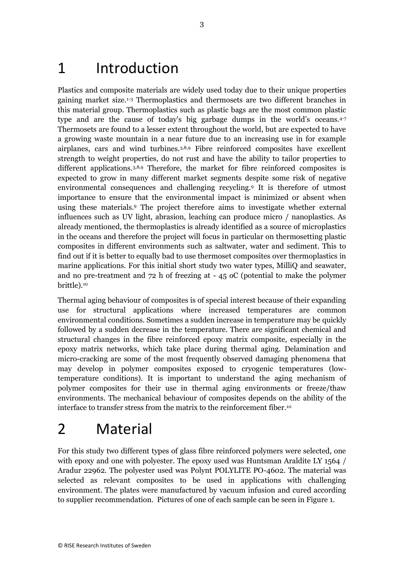## 1 Introduction

Plastics and composite materials are widely used today due to their unique properties gaining market size.1-3 Thermoplastics and thermosets are two different branches in this material group. Thermoplastics such as plastic bags are the most common plastic type and are the cause of today's big garbage dumps in the world's oceans.4-7 Thermosets are found to a lesser extent throughout the world, but are expected to have a growing waste mountain in a near future due to an increasing use in for example airplanes, cars and wind turbines.3,8,9 Fibre reinforced composites have excellent strength to weight properties, do not rust and have the ability to tailor properties to different applications.<sup>3,8,9</sup> Therefore, the market for fibre reinforced composites is expected to grow in many different market segments despite some risk of negative environmental consequences and challenging recycling.<sup>9</sup> It is therefore of utmost importance to ensure that the environmental impact is minimized or absent when using these materials.<sup>9</sup> The project therefore aims to investigate whether external influences such as UV light, abrasion, leaching can produce micro / nanoplastics. As already mentioned, the thermoplastics is already identified as a source of microplastics in the oceans and therefore the project will focus in particular on thermosetting plastic composites in different environments such as saltwater, water and sediment. This to find out if it is better to equally bad to use thermoset composites over thermoplastics in marine applications. For this initial short study two water types, MilliQ and seawater, and no pre-treatment and 72 h of freezing at - 45 oC (potential to make the polymer brittle).<sup>10</sup>

Thermal aging behaviour of composites is of special interest because of their expanding use for structural applications where increased temperatures are common environmental conditions. Sometimes a sudden increase in temperature may be quickly followed by a sudden decrease in the temperature. There are significant chemical and structural changes in the fibre reinforced epoxy matrix composite, especially in the epoxy matrix networks, which take place during thermal aging. Delamination and micro-cracking are some of the most frequently observed damaging phenomena that may develop in polymer composites exposed to cryogenic temperatures (lowtemperature conditions). It is important to understand the aging mechanism of polymer composites for their use in thermal aging environments or freeze/thaw environments. The mechanical behaviour of composites depends on the ability of the interface to transfer stress from the matrix to the reinforcement fiber.<sup>10</sup>

# 2 Material

For this study two different types of glass fibre reinforced polymers were selected, one with epoxy and one with polyester. The epoxy used was Huntsman Araldite LY 1564 / Aradur 22962. The polyester used was Polynt POLYLITE PO-4602. The material was selected as relevant composites to be used in applications with challenging environment. The plates were manufactured by vacuum infusion and cured according to supplier recommendation. Pictures of one of each sample can be seen in [Figure 1.](#page-5-0)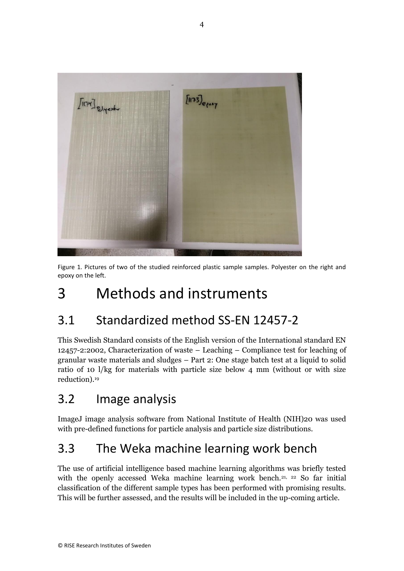

<span id="page-5-0"></span>Figure 1. Pictures of two of the studied reinforced plastic sample samples. Polyester on the right and epoxy on the left.

# 3 Methods and instruments

### 3.1 Standardized method SS-EN 12457-2

This Swedish Standard consists of the English version of the International standard EN 12457-2:2002, Characterization of waste – Leaching – Compliance test for leaching of granular waste materials and sludges – Part 2: One stage batch test at a liquid to solid ratio of 10 l/kg for materials with particle size below 4 mm (without or with size reduction).<sup>19</sup>

### 3.2 Image analysis

ImageJ image analysis software from National Institute of Health (NIH)20 was used with pre-defined functions for particle analysis and particle size distributions.

### 3.3 The Weka machine learning work bench

The use of artificial intelligence based machine learning algorithms was briefly tested with the openly accessed Weka machine learning work bench.<sup>21, 22</sup> So far initial classification of the different sample types has been performed with promising results. This will be further assessed, and the results will be included in the up-coming article.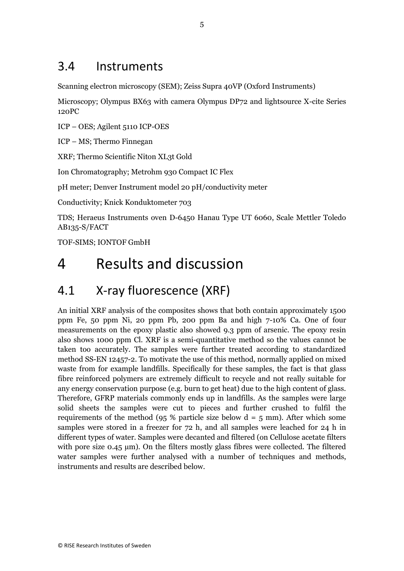#### 3.4 Instruments

Scanning electron microscopy (SEM); Zeiss Supra 40VP (Oxford Instruments)

Microscopy; Olympus BX63 with camera Olympus DP72 and lightsource X-cite Series 120PC

ICP – OES; Agilent 5110 ICP-OES

ICP – MS; Thermo Finnegan

XRF; Thermo Scientific Niton XL3t Gold

Ion Chromatography; Metrohm 930 Compact IC Flex

pH meter; Denver Instrument model 20 pH/conductivity meter

Conductivity; Knick Konduktometer 703

TDS; Heraeus Instruments oven D-6450 Hanau Type UT 6060, Scale Mettler Toledo AB135-S/FACT

TOF-SIMS; IONTOF GmbH

## 4 Results and discussion

### 4.1 X-ray fluorescence (XRF)

An initial XRF analysis of the composites shows that both contain approximately 1500 ppm Fe, 50 ppm Ni, 20 ppm Pb, 200 ppm Ba and high 7-10% Ca. One of four measurements on the epoxy plastic also showed 9.3 ppm of arsenic. The epoxy resin also shows 1000 ppm Cl. XRF is a semi-quantitative method so the values cannot be taken too accurately. The samples were further treated according to standardized method SS-EN 12457-2. To motivate the use of this method, normally applied on mixed waste from for example landfills. Specifically for these samples, the fact is that glass fibre reinforced polymers are extremely difficult to recycle and not really suitable for any energy conservation purpose (e.g. burn to get heat) due to the high content of glass. Therefore, GFRP materials commonly ends up in landfills. As the samples were large solid sheets the samples were cut to pieces and further crushed to fulfil the requirements of the method (95 % particle size below  $d = 5$  mm). After which some samples were stored in a freezer for 72 h, and all samples were leached for 24 h in different types of water. Samples were decanted and filtered (on Cellulose acetate filters with pore size  $0.45 \mu m$ ). On the filters mostly glass fibres were collected. The filtered water samples were further analysed with a number of techniques and methods, instruments and results are described below.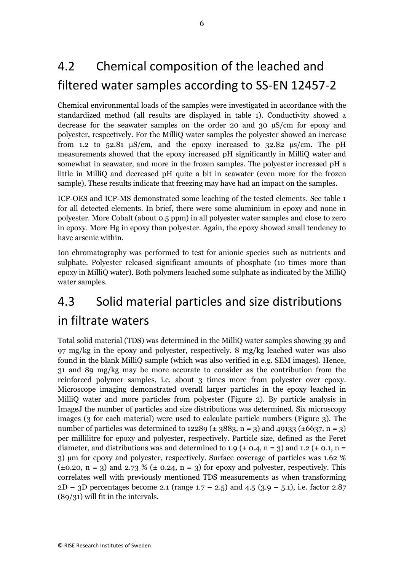## 4.2 Chemical composition of the leached and filtered water samples according to SS-EN 12457-2

Chemical environmental loads of the samples were investigated in accordance with the standardized method (all results are displayed in table 1). Conductivity showed a decrease for the seawater samples on the order 20 and 30 µS/cm for epoxy and polyester, respectively. For the MilliQ water samples the polyester showed an increase from 1.2 to 52.81  $\mu$ S/cm, and the epoxy increased to 32.82  $\mu$ s/cm. The pH measurements showed that the epoxy increased pH significantly in MilliQ water and somewhat in seawater, and more in the frozen samples. The polyester increased pH a little in MilliQ and decreased pH quite a bit in seawater (even more for the frozen sample). These results indicate that freezing may have had an impact on the samples.

ICP-OES and ICP-MS demonstrated some leaching of the tested elements. See table 1 for all detected elements. In brief, there were some aluminium in epoxy and none in polyester. More Cobalt (about 0.5 ppm) in all polyester water samples and close to zero in epoxy. More Hg in epoxy than polyester. Again, the epoxy showed small tendency to have arsenic within.

Ion chromatography was performed to test for anionic species such as nutrients and sulphate. Polyester released significant amounts of phosphate (10 times more than epoxy in MilliQ water). Both polymers leached some sulphate as indicated by the MilliQ water samples.

# 4.3 Solid material particles and size distributions in filtrate waters

Total solid material (TDS) was determined in the MilliQ water samples showing 39 and 97 mg/kg in the epoxy and polyester, respectively. 8 mg/kg leached water was also found in the blank MilliQ sample (which was also verified in e.g. SEM images). Hence, 31 and 89 mg/kg may be more accurate to consider as the contribution from the reinforced polymer samples, i.e. about 3 times more from polyester over epoxy. Microscope imaging demonstrated overall larger particles in the epoxy leached in MilliQ water and more particles from polyester [\(Figure 2\)](#page-8-0). By particle analysis in ImageJ the number of particles and size distributions was determined. Six microscopy images (3 for each material) were used to calculate particle numbers [\(Figure 3\)](#page-8-1). The number of particles was determined to 12289 ( $\pm$  3883, n = 3) and 49133 ( $\pm$ 6637, n = 3) per millilitre for epoxy and polyester, respectively. Particle size, defined as the Feret diameter, and distributions was and determined to 1.9 ( $\pm$  0.4, n = 3) and 1.2 ( $\pm$  0.1, n = 3) µm for epoxy and polyester, respectively. Surface coverage of particles was 1.62 %  $(\pm 0.20, n = 3)$  and 2.73 %  $(\pm 0.24, n = 3)$  for epoxy and polyester, respectively. This correlates well with previously mentioned TDS measurements as when transforming  $2D - 3D$  percentages become 2.1 (range 1.7 – 2.5) and 4.5 (3.9 – 5.1), i.e. factor 2.87 (89/31) will fit in the intervals.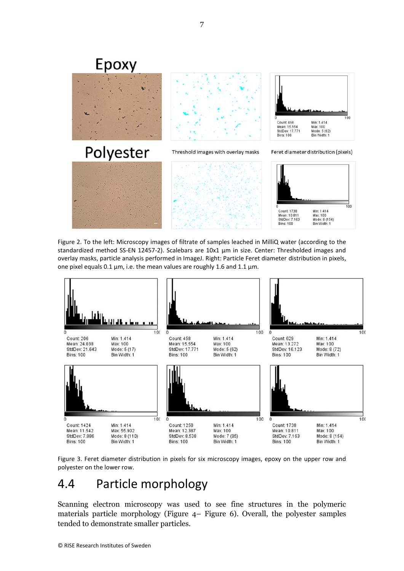

<span id="page-8-0"></span>Figure 2. To the left: Microscopy images of filtrate of samples leached in MilliQ water (according to the standardized method SS-EN 12457-2). Scalebars are 10x1 µm in size. Center: Thresholded images and overlay masks, particle analysis performed in ImageJ. Right: Particle Feret diameter distribution in pixels, one pixel equals 0.1 µm, i.e. the mean values are roughly 1.6 and 1.1 µm.



<span id="page-8-1"></span>Figure 3. Feret diameter distribution in pixels for six microscopy images, epoxy on the upper row and polyester on the lower row.

#### 4.4 Particle morphology

Scanning electron microscopy was used to see fine structures in the polymeric materials particle morphology [\(Figure 4](#page-9-0)– [Figure 6\)](#page-10-0). Overall, the polyester samples tended to demonstrate smaller particles.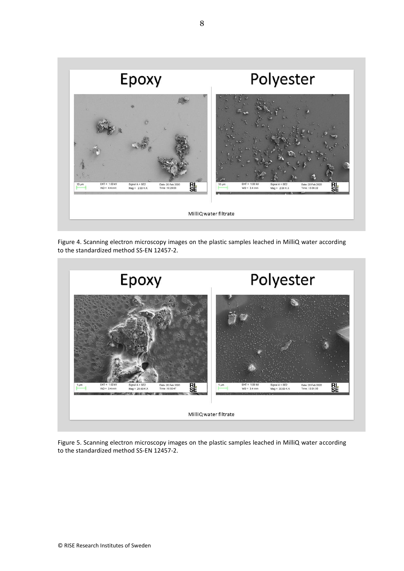

<span id="page-9-0"></span>Figure 4. Scanning electron microscopy images on the plastic samples leached in MilliQ water according to the standardized method SS-EN 12457-2.



Figure 5. Scanning electron microscopy images on the plastic samples leached in MilliQ water according to the standardized method SS-EN 12457-2.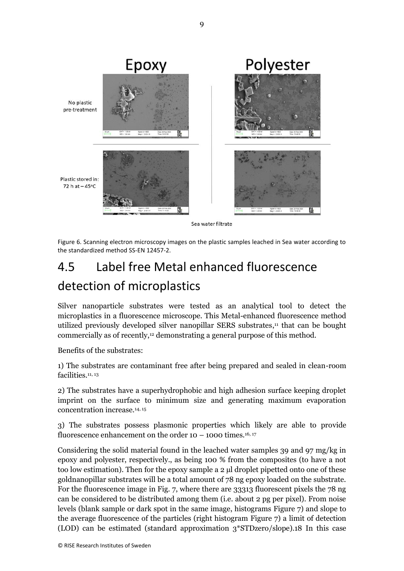

Sea water filtrate

<span id="page-10-0"></span>Figure 6. Scanning electron microscopy images on the plastic samples leached in Sea water according to the standardized method SS-EN 12457-2.

### 4.5 Label free Metal enhanced fluorescence detection of microplastics

Silver nanoparticle substrates were tested as an analytical tool to detect the microplastics in a fluorescence microscope. This Metal-enhanced fluorescence method utilized previously developed silver nanopillar SERS substrates, <sup>11</sup> that can be bought commercially as of recently,<sup>12</sup> demonstrating a general purpose of this method.

Benefits of the substrates:

1) The substrates are contaminant free after being prepared and sealed in clean-room facilities.<sup>11, 13</sup>

2) The substrates have a superhydrophobic and high adhesion surface keeping droplet imprint on the surface to minimum size and generating maximum evaporation concentration increase.14, 15

3) The substrates possess plasmonic properties which likely are able to provide fluorescence enhancement on the order  $10 - 1000$  times.<sup>16, 17</sup>

Considering the solid material found in the leached water samples 39 and 97 mg/kg in epoxy and polyester, respectively., as being 100 % from the composites (to have a not too low estimation). Then for the epoxy sample a 2 µl droplet pipetted onto one of these goldnanopillar substrates will be a total amount of 78 ng epoxy loaded on the substrate. For the fluorescence image in Fig. 7, where there are 33313 fluorescent pixels the 78 ng can be considered to be distributed among them (i.e. about 2 pg per pixel). From noise levels (blank sample or dark spot in the same image, histograms [Figure 7\)](#page-11-0) and slope to the average fluorescence of the particles (right histogram [Figure 7\)](#page-11-0) a limit of detection (LOD) can be estimated (standard approximation 3\*STDzero/slope).18 In this case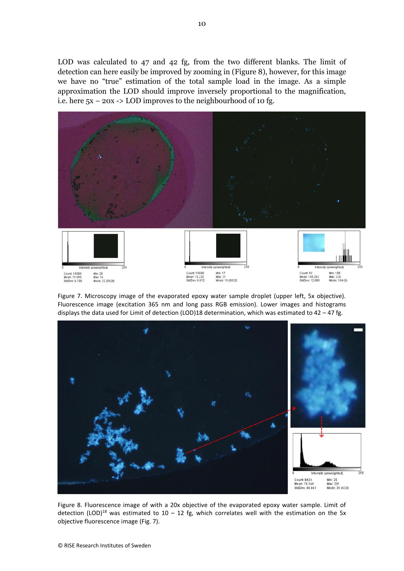LOD was calculated to 47 and 42 fg, from the two different blanks. The limit of detection can here easily be improved by zooming in [\(Figure 8\)](#page-11-1), however, for this image we have no "true" estimation of the total sample load in the image. As a simple approximation the LOD should improve inversely proportional to the magnification, i.e. here  $5x - 20x \rightarrow$  LOD improves to the neighbourhood of 10 fg.



<span id="page-11-0"></span>Figure 7. Microscopy image of the evaporated epoxy water sample droplet (upper left, 5x objective). Fluorescence image (excitation 365 nm and long pass RGB emission). Lower images and histograms displays the data used for Limit of detection (LOD)18 determination, which was estimated to  $42 - 47$  fg.



<span id="page-11-1"></span>Figure 8. Fluorescence image of with a 20x objective of the evaporated epoxy water sample. Limit of detection (LOD)<sup>18</sup> was estimated to 10 – 12 fg, which correlates well with the estimation on the 5x objective fluorescence image (Fig. 7).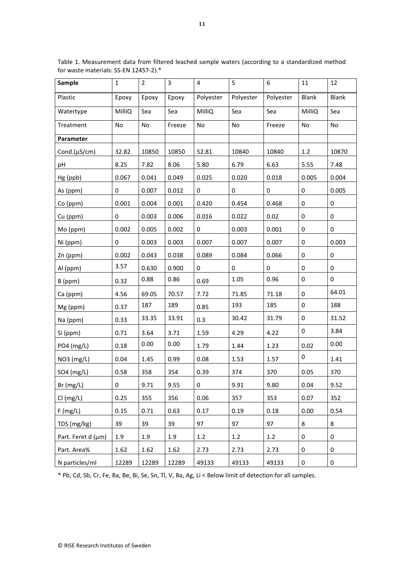| <b>Sample</b>      | $\mathbf{1}$ | $\overline{2}$ | 3      | 4            | 5         | 6         | 11           | 12                  |
|--------------------|--------------|----------------|--------|--------------|-----------|-----------|--------------|---------------------|
| Plastic            | Epoxy        | Epoxy          | Epoxy  | Polyester    | Polyester | Polyester | <b>Blank</b> | <b>Blank</b>        |
| Watertype          | MilliQ       | Sea            | Sea    | MilliQ       | Sea       | Sea       | MilliQ       | Sea                 |
| Treatment          | No           | No             | Freeze | No           | No        | Freeze    | No           | No                  |
| Parameter          |              |                |        |              |           |           |              |                     |
| Cond. $(\mu S/cm)$ | 32.82        | 10850          | 10850  | 52.81        | 10840     | 10840     | 1.2          | 10870               |
| pH                 | 8.25         | 7.82           | 8.06   | 5.80         | 6.79      | 6.63      | 5.55         | 7.48                |
| Hg (ppb)           | 0.067        | 0.041          | 0.049  | 0.025        | 0.020     | 0.018     | 0.005        | 0.004               |
| As (ppm)           | 0            | 0.007          | 0.012  | 0            | 0         | 0         | 0            | 0.005               |
| Co (ppm)           | 0.001        | 0.004          | 0.001  | 0.420        | 0.454     | 0.468     | 0            | 0                   |
| Cu (ppm)           | 0            | 0.003          | 0.006  | 0.016        | 0.022     | 0.02      | 0            | 0                   |
| Mo (ppm)           | 0.002        | 0.005          | 0.002  | 0            | 0.003     | 0.001     | 0            | 0                   |
| Ni (ppm)           | 0            | 0.003          | 0.003  | 0.007        | 0.007     | 0.007     | 0            | 0.003               |
| Zn (ppm)           | 0.002        | 0.043          | 0.038  | 0.089        | 0.084     | 0.066     | 0            | 0                   |
| Al (ppm)           | 3.57         | 0.630          | 0.900  | 0            | 0         | 0         | 0            | 0                   |
| B (ppm)            | 0.32         | 0.88           | 0.86   | 0.69         | 1.05      | 0.96      | 0            | $\mathsf{O}\xspace$ |
| Ca (ppm)           | 4.56         | 69.05          | 70.57  | 7.72         | 71.85     | 71.18     | 0            | 64.01               |
| Mg (ppm)           | 0.37         | 187            | 189    | 0.85         | 193       | 185       | 0            | 188                 |
| Na (ppm)           | 0.33         | 33.35          | 33.91  | 0.3          | 30.42     | 31.79     | 0            | 31.52               |
| Si (ppm)           | 0.71         | 3.64           | 3.71   | 1.59         | 4.29      | 4.22      | 0            | 3.84                |
| PO4 (mg/L)         | 0.18         | 0.00           | 0.00   | 1.79         | 1.44      | 1.23      | 0.02         | 0.00                |
| NO3 (mg/L)         | 0.04         | 1.45           | 0.99   | 0.08         | 1.53      | 1.57      | 0            | 1.41                |
| SO4 (mg/L)         | 0.58         | 358            | 354    | 0.39         | 374       | 370       | 0.05         | 370                 |
| Br(mg/L)           | $\mathbf 0$  | 9.71           | 9.55   | $\mathbf{O}$ | 9.91      | 9.80      | 0.04         | 9.52                |
| Cl(mg/L)           | 0.25         | 355            | 356    | 0.06         | 357       | 353       | 0.07         | 352                 |
| F(mg/L)            | 0.15         | 0.71           | 0.63   | 0.17         | 0.19      | 0.18      | 0.00         | 0.54                |
| TDS (mg/kg)        | 39           | 39             | 39     | 97           | 97        | 97        | 8            | 8                   |
| Part. Feret d (µm) | 1.9          | 1.9            | 1.9    | 1.2          | 1.2       | 1.2       | 0            | 0                   |
| Part. Area%        | 1.62         | 1.62           | 1.62   | 2.73         | 2.73      | 2.73      | 0            | 0                   |
| N particles/ml     | 12289        | 12289          | 12289  | 49133        | 49133     | 49133     | 0            | 0                   |

Table 1. Measurement data from filtered leached sample waters (according to a standardized method for waste materials: SS-EN 12457-2).\*

\* Pb, Cd, Sb, Cr, Fe, Ba, Be, Bi, Se, Sn, Tl, V, Ba, Ag, Li < Below limit of detection for all samples.

 $\mathbf{r}$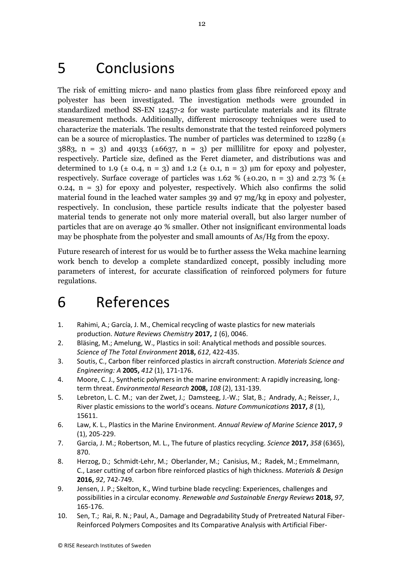## 5 Conclusions

The risk of emitting micro- and nano plastics from glass fibre reinforced epoxy and polyester has been investigated. The investigation methods were grounded in standardized method SS-EN 12457-2 for waste particulate materials and its filtrate measurement methods. Additionally, different microscopy techniques were used to characterize the materials. The results demonstrate that the tested reinforced polymers can be a source of microplastics. The number of particles was determined to 12289  $(±$  $3883$ , n = 3) and  $49133$  ( $\pm 6637$ , n = 3) per millilitre for epoxy and polyester, respectively. Particle size, defined as the Feret diameter, and distributions was and determined to 1.9 ( $\pm$  0.4, n = 3) and 1.2 ( $\pm$  0.1, n = 3) µm for epoxy and polyester, respectively. Surface coverage of particles was 1.62 % ( $\pm$ 0.20, n = 3) and 2.73 % ( $\pm$ 0.24,  $n = 3$ ) for epoxy and polyester, respectively. Which also confirms the solid material found in the leached water samples 39 and 97 mg/kg in epoxy and polyester, respectively. In conclusion, these particle results indicate that the polyester based material tends to generate not only more material overall, but also larger number of particles that are on average 40 % smaller. Other not insignificant environmental loads may be phosphate from the polyester and small amounts of As/Hg from the epoxy.

Future research of interest for us would be to further assess the Weka machine learning work bench to develop a complete standardized concept, possibly including more parameters of interest, for accurate classification of reinforced polymers for future regulations.

## 6 References

- 1. Rahimi, A.; García, J. M., Chemical recycling of waste plastics for new materials production. *Nature Reviews Chemistry* **2017,** *1* (6), 0046.
- 2. Bläsing, M.; Amelung, W., Plastics in soil: Analytical methods and possible sources. *Science of The Total Environment* **2018,** *612*, 422-435.
- 3. Soutis, C., Carbon fiber reinforced plastics in aircraft construction. *Materials Science and Engineering: A* **2005,** *412* (1), 171-176.
- 4. Moore, C. J., Synthetic polymers in the marine environment: A rapidly increasing, longterm threat. *Environmental Research* **2008,** *108* (2), 131-139.
- 5. Lebreton, L. C. M.; van der Zwet, J.; Damsteeg, J.-W.; Slat, B.; Andrady, A.; Reisser, J., River plastic emissions to the world's oceans. *Nature Communications* **2017,** *8* (1), 15611.
- 6. Law, K. L., Plastics in the Marine Environment. *Annual Review of Marine Science* **2017,** *9* (1), 205-229.
- 7. Garcia, J. M.; Robertson, M. L., The future of plastics recycling. *Science* **2017,** *358* (6365), 870.
- 8. Herzog, D.; Schmidt-Lehr, M.; Oberlander, M.; Canisius, M.; Radek, M.; Emmelmann, C., Laser cutting of carbon fibre reinforced plastics of high thickness. *Materials & Design*  **2016,** *92*, 742-749.
- 9. Jensen, J. P.; Skelton, K., Wind turbine blade recycling: Experiences, challenges and possibilities in a circular economy. *Renewable and Sustainable Energy Reviews* **2018,** *97*, 165-176.
- 10. Sen, T.; Rai, R. N.; Paul, A., Damage and Degradability Study of Pretreated Natural Fiber-Reinforced Polymers Composites and Its Comparative Analysis with Artificial Fiber-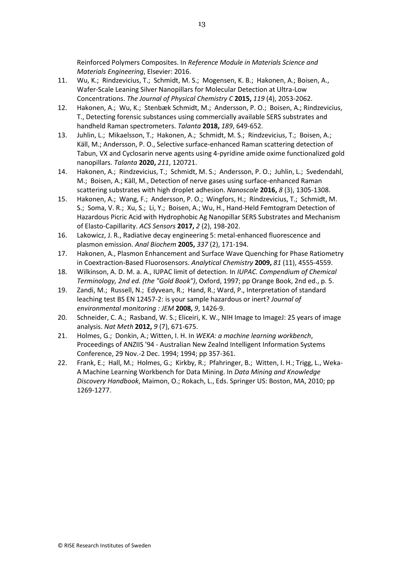Reinforced Polymers Composites. In *Reference Module in Materials Science and Materials Engineering*, Elsevier: 2016.

- 11. Wu, K.; Rindzevicius, T.; Schmidt, M. S.; Mogensen, K. B.; Hakonen, A.; Boisen, A., Wafer-Scale Leaning Silver Nanopillars for Molecular Detection at Ultra-Low Concentrations. *The Journal of Physical Chemistry C* **2015,** *119* (4), 2053-2062.
- 12. Hakonen, A.; Wu, K.; Stenbæk Schmidt, M.; Andersson, P. O.; Boisen, A.; Rindzevicius, T., Detecting forensic substances using commercially available SERS substrates and handheld Raman spectrometers. *Talanta* **2018,** *189*, 649-652.
- 13. Juhlin, L.; Mikaelsson, T.; Hakonen, A.; Schmidt, M. S.; Rindzevicius, T.; Boisen, A.; Käll, M.; Andersson, P. O., Selective surface-enhanced Raman scattering detection of Tabun, VX and Cyclosarin nerve agents using 4-pyridine amide oxime functionalized gold nanopillars. *Talanta* **2020,** *211*, 120721.
- 14. Hakonen, A.; Rindzevicius, T.; Schmidt, M. S.; Andersson, P. O.; Juhlin, L.; Svedendahl, M.; Boisen, A.; Käll, M., Detection of nerve gases using surface-enhanced Raman scattering substrates with high droplet adhesion. *Nanoscale* **2016,** *8* (3), 1305-1308.
- 15. Hakonen, A.; Wang, F.; Andersson, P. O.; Wingfors, H.; Rindzevicius, T.; Schmidt, M. S.; Soma, V. R.; Xu, S.; Li, Y.; Boisen, A.; Wu, H., Hand-Held Femtogram Detection of Hazardous Picric Acid with Hydrophobic Ag Nanopillar SERS Substrates and Mechanism of Elasto-Capillarity. *ACS Sensors* **2017,** *2* (2), 198-202.
- 16. Lakowicz, J. R., Radiative decay engineering 5: metal-enhanced fluorescence and plasmon emission. *Anal Biochem* **2005,** *337* (2), 171-194.
- 17. Hakonen, A., Plasmon Enhancement and Surface Wave Quenching for Phase Ratiometry in Coextraction-Based Fluorosensors. *Analytical Chemistry* **2009,** *81* (11), 4555-4559.
- 18. Wilkinson, A. D. M. a. A., IUPAC limit of detection. In *IUPAC. Compendium of Chemical Terminology, 2nd ed. (the "Gold Book")*, Oxford, 1997; pp Orange Book, 2nd ed., p. 5.
- 19. Zandi, M.; Russell, N.; Edyvean, R.; Hand, R.; Ward, P., Interpretation of standard leaching test BS EN 12457-2: is your sample hazardous or inert? *Journal of environmental monitoring : JEM* **2008,** *9*, 1426-9.
- 20. Schneider, C. A.; Rasband, W. S.; Eliceiri, K. W., NIH Image to ImageJ: 25 years of image analysis. *Nat Meth* **2012,** *9* (7), 671-675.
- 21. Holmes, G.; Donkin, A.; Witten, I. H. In *WEKA: a machine learning workbench*, Proceedings of ANZIIS '94 - Australian New Zealnd Intelligent Information Systems Conference, 29 Nov.-2 Dec. 1994; 1994; pp 357-361.
- 22. Frank, E.; Hall, M.; Holmes, G.; Kirkby, R.; Pfahringer, B.; Witten, I. H.; Trigg, L., Weka-A Machine Learning Workbench for Data Mining. In *Data Mining and Knowledge Discovery Handbook*, Maimon, O.; Rokach, L., Eds. Springer US: Boston, MA, 2010; pp 1269-1277.